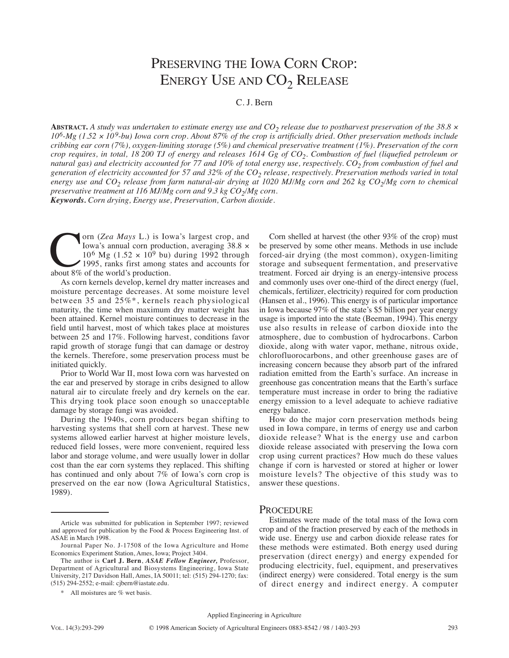# PRESERVING THE IOWA CORN CROP: ENERGY USE AND  $CO<sub>2</sub>$  RELEASE

# C. J. Bern

**ABSTRACT.** *A study was undertaken to estimate energy use and CO2 release due to postharvest preservation of the 38.8* <sup>×</sup> *106-Mg (1.52* <sup>×</sup> *109-bu) Iowa corn crop. About 87% of the crop is artificially dried. Other preservation methods include cribbing ear corn (7%), oxygen-limiting storage (5%) and chemical preservative treatment (1%). Preservation of the corn crop requires, in total, 18 200 TJ of energy and releases 1614 Gg of CO2. Combustion of fuel (liquefied petroleum or natural gas) and electricity accounted for 77 and 10% of total energy use, respectively. CO<sub>2</sub> <i>from combustion of fuel and generation of electricity accounted for 57 and 32% of the CO2 release, respectively. Preservation methods varied in total energy use and CO2 release from farm natural-air drying at 1020 MJ/Mg corn and 262 kg CO2/Mg corn to chemical preservative treatment at 116 MJ/Mg corn and 9.3 kg CO<sub>2</sub>/Mg corn. Keywords. Corn drying, Energy use, Preservation, Carbon dioxide.*

orn (*Zea Mays* L.) is Iowa's largest crop, and<br>Iowa's annual corn production, averaging 38.8 ×<br>10<sup>6</sup> Mg (1.52 × 10<sup>9</sup> bu) during 1992 through<br>about 8% of the world's production. Iowa's annual corn production, averaging 38.8 ×  $10^6$  Mg (1.52  $\times$  10<sup>9</sup> bu) during 1992 through 1995, ranks first among states and accounts for about 8% of the world's production.

As corn kernels develop, kernel dry matter increases and moisture percentage decreases. At some moisture level between 35 and 25%\*, kernels reach physiological maturity, the time when maximum dry matter weight has been attained. Kernel moisture continues to decrease in the field until harvest, most of which takes place at moistures between 25 and 17%. Following harvest, conditions favor rapid growth of storage fungi that can damage or destroy the kernels. Therefore, some preservation process must be initiated quickly.

Prior to World War II, most Iowa corn was harvested on the ear and preserved by storage in cribs designed to allow natural air to circulate freely and dry kernels on the ear. This drying took place soon enough so unacceptable damage by storage fungi was avoided.

During the 1940s, corn producers began shifting to harvesting systems that shell corn at harvest. These new systems allowed earlier harvest at higher moisture levels, reduced field losses, were more convenient, required less labor and storage volume, and were usually lower in dollar cost than the ear corn systems they replaced. This shifting has continued and only about 7% of Iowa's corn crop is preserved on the ear now (Iowa Agricultural Statistics, 1989).

Corn shelled at harvest (the other 93% of the crop) must be preserved by some other means. Methods in use include forced-air drying (the most common), oxygen-limiting storage and subsequent fermentation, and preservative treatment. Forced air drying is an energy-intensive process and commonly uses over one-third of the direct energy (fuel, chemicals, fertilizer, electricity) required for corn production (Hansen et al., 1996). This energy is of particular importance in Iowa because 97% of the state's \$5 billion per year energy usage is imported into the state (Beeman, 1994). This energy use also results in release of carbon dioxide into the atmosphere, due to combustion of hydrocarbons. Carbon dioxide, along with water vapor, methane, nitrous oxide, chlorofluorocarbons, and other greenhouse gases are of increasing concern because they absorb part of the infrared radiation emitted from the Earth's surface. An increase in greenhouse gas concentration means that the Earth's surface temperature must increase in order to bring the radiative energy emission to a level adequate to achieve radiative energy balance.

How do the major corn preservation methods being used in Iowa compare, in terms of energy use and carbon dioxide release? What is the energy use and carbon dioxide release associated with preserving the Iowa corn crop using current practices? How much do these values change if corn is harvested or stored at higher or lower moisture levels? The objective of this study was to answer these questions.

## **PROCEDURE**

Estimates were made of the total mass of the Iowa corn crop and of the fraction preserved by each of the methods in wide use. Energy use and carbon dioxide release rates for these methods were estimated. Both energy used during preservation (direct energy) and energy expended for producing electricity, fuel, equipment, and preservatives (indirect energy) were considered. Total energy is the sum of direct energy and indirect energy. A computer

Article was submitted for publication in September 1997; reviewed and approved for publication by the Food & Process Engineering Inst. of ASAE in March 1998.

Journal Paper No. J-17508 of the Iowa Agriculture and Home Economics Experiment Station, Ames, Iowa; Project 3404.

The author is **Carl J. Bern**, *ASAE Fellow Engineer,* Professor, Department of Agricultural and Biosystems Engineering, Iowa State University, 217 Davidson Hall, Ames, IA 50011; tel: (515) 294-1270; fax: (515) 294-2552; e-mail: cjbern@iastate.edu.

All moistures are % wet basis.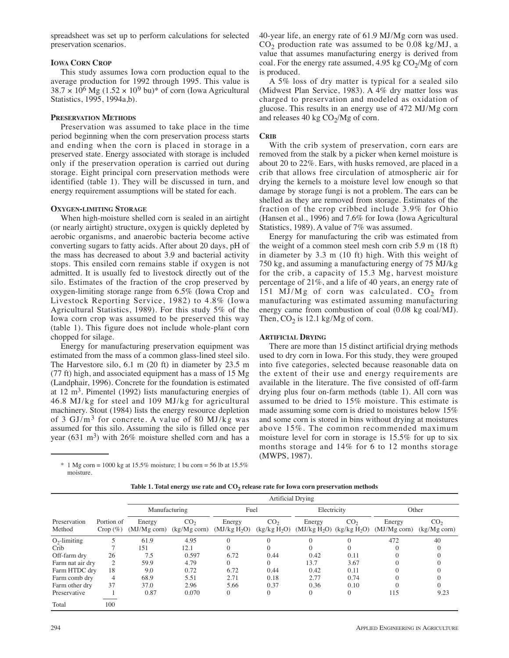spreadsheet was set up to perform calculations for selected preservation scenarios.

#### **IOWA CORN CROP**

This study assumes Iowa corn production equal to the average production for 1992 through 1995. This value is  $38.7 \times 10^6$  Mg (1.52  $\times 10^9$  bu)\* of corn (Iowa Agricultural Statistics, 1995, 1994a,b).

## **PRESERVATION METHODS**

Preservation was assumed to take place in the time period beginning when the corn preservation process starts and ending when the corn is placed in storage in a preserved state. Energy associated with storage is included only if the preservation operation is carried out during storage. Eight principal corn preservation methods were identified (table 1). They will be discussed in turn, and energy requirement assumptions will be stated for each.

## **OXYGEN-LIMITING STORAGE**

When high-moisture shelled corn is sealed in an airtight (or nearly airtight) structure, oxygen is quickly depleted by aerobic organisms, and anaerobic bacteria become active converting sugars to fatty acids. After about 20 days, pH of the mass has decreased to about 3.9 and bacterial activity stops. This ensiled corn remains stable if oxygen is not admitted. It is usually fed to livestock directly out of the silo. Estimates of the fraction of the crop preserved by oxygen-limiting storage range from 6.5% (Iowa Crop and Livestock Reporting Service, 1982) to 4.8% (Iowa Agricultural Statistics, 1989). For this study 5% of the Iowa corn crop was assumed to be preserved this way (table 1). This figure does not include whole-plant corn chopped for silage.

Energy for manufacturing preservation equipment was estimated from the mass of a common glass-lined steel silo. The Harvestore silo, 6.1 m (20 ft) in diameter by 23.5 m (77 ft) high, and associated equipment has a mass of 15 Mg (Landphair, 1996). Concrete for the foundation is estimated at 12 m<sup>3</sup>. Pimentel (1992) lists manufacturing energies of 46.8 MJ/kg for steel and 109 MJ/kg for agricultural machinery. Stout (1984) lists the energy resource depletion of 3  $GI/m^3$  for concrete. A value of 80 MJ/kg was assumed for this silo. Assuming the silo is filled once per year  $(631 \text{ m}^3)$  with 26% moisture shelled corn and has a

 $*$  1 Mg corn = 1000 kg at 15.5% moisture; 1 bu corn = 56 lb at 15.5% moisture.

40-year life, an energy rate of 61.9 MJ/Mg corn was used.  $CO<sub>2</sub>$  production rate was assumed to be 0.08 kg/MJ, a value that assumes manufacturing energy is derived from coal. For the energy rate assumed,  $4.95 \text{ kg CO}_2/\text{Mg}$  of corn is produced.

A 5% loss of dry matter is typical for a sealed silo (Midwest Plan Service, 1983). A 4% dry matter loss was charged to preservation and modeled as oxidation of glucose. This results in an energy use of 472 MJ/Mg corn and releases 40 kg  $CO<sub>2</sub>/Mg$  of corn.

## **CRIB**

With the crib system of preservation, corn ears are removed from the stalk by a picker when kernel moisture is about 20 to 22%. Ears, with husks removed, are placed in a crib that allows free circulation of atmospheric air for drying the kernels to a moisture level low enough so that damage by storage fungi is not a problem. The ears can be shelled as they are removed from storage. Estimates of the fraction of the crop cribbed include 3.9% for Ohio (Hansen et al., 1996) and 7.6% for Iowa (Iowa Agricultural Statistics, 1989). A value of 7% was assumed.

Energy for manufacturing the crib was estimated from the weight of a common steel mesh corn crib 5.9 m (18 ft) in diameter by 3.3 m (10 ft) high. With this weight of 750 kg, and assuming a manufacturing energy of 75 MJ/kg for the crib, a capacity of 15.3 Mg, harvest moisture percentage of 21%, and a life of 40 years, an energy rate of 151 MJ/Mg of corn was calculated.  $CO<sub>2</sub>$  from manufacturing was estimated assuming manufacturing energy came from combustion of coal (0.08 kg coal/MJ). Then,  $CO_2$  is 12.1 kg/Mg of corn.

## **ARTIFICIAL DRYING**

There are more than 15 distinct artificial drying methods used to dry corn in Iowa. For this study, they were grouped into five categories, selected because reasonable data on the extent of their use and energy requirements are available in the literature. The five consisted of off-farm drying plus four on-farm methods (table 1). All corn was assumed to be dried to 15% moisture. This estimate is made assuming some corn is dried to moistures below 15% and some corn is stored in bins without drying at moistures above 15%. The common recommended maximum moisture level for corn in storage is 15.5% for up to six months storage and 14% for 6 to 12 months storage (MWPS, 1987).

|  | Table 1. Total energy use rate and $CO2$ release rate for Iowa corn preservation methods |
|--|------------------------------------------------------------------------------------------|
|--|------------------------------------------------------------------------------------------|

|                        |                          | Artificial Drying          |                                    |                                    |                                             |                                        |                 |                          |                                           |  |  |
|------------------------|--------------------------|----------------------------|------------------------------------|------------------------------------|---------------------------------------------|----------------------------------------|-----------------|--------------------------|-------------------------------------------|--|--|
|                        | Manufacturing            |                            | Fuel                               |                                    | Electricity                                 |                                        | Other           |                          |                                           |  |  |
| Preservation<br>Method | Portion of<br>$Crop(\%)$ | Energy<br>$(MJ/Mg\,$ corn) | CO <sub>2</sub><br>$(kg/Mg)$ corn) | Energy<br>(MJ/kg H <sub>2</sub> O) | CO <sub>2</sub><br>(kg/kg H <sub>2</sub> O) | Energy<br>$(MJ/kg H2O)$ (kg/kg $H2O$ ) | CO <sub>2</sub> | Energy<br>$(MJ/Mg$ corn) | CO <sub>2</sub><br>$(kg/Mg \text{ corn})$ |  |  |
| $O2$ -limiting         |                          | 61.9                       | 4.95                               | $\Omega$                           |                                             |                                        |                 | 472                      | 40                                        |  |  |
| Crib                   |                          | 151                        | 12.1                               | $\Omega$                           |                                             | $\Omega$                               | $\Omega$        |                          |                                           |  |  |
| Off-farm dry           | 26                       | 7.5                        | 0.597                              | 6.72                               | 0.44                                        | 0.42                                   | 0.11            |                          |                                           |  |  |
| Farm nat air dry       | ◠                        | 59.9                       | 4.79                               | $\Omega$                           | $\Omega$                                    | 13.7                                   | 3.67            |                          |                                           |  |  |
| Farm HTDC dry          | 18                       | 9.0                        | 0.72                               | 6.72                               | 0.44                                        | 0.42                                   | 0.11            |                          |                                           |  |  |
| Farm comb dry          | 4                        | 68.9                       | 5.51                               | 2.71                               | 0.18                                        | 2.77                                   | 0.74            |                          |                                           |  |  |
| Farm other dry         | 37                       | 37.0                       | 2.96                               | 5.66                               | 0.37                                        | 0.36                                   | 0.10            |                          |                                           |  |  |
| Preservative           |                          | 0.87                       | 0.070                              | $\mathbf{0}$                       | $\Omega$                                    | $\Omega$                               | $\Omega$        | 115                      | 9.23                                      |  |  |
| Total                  | 100                      |                            |                                    |                                    |                                             |                                        |                 |                          |                                           |  |  |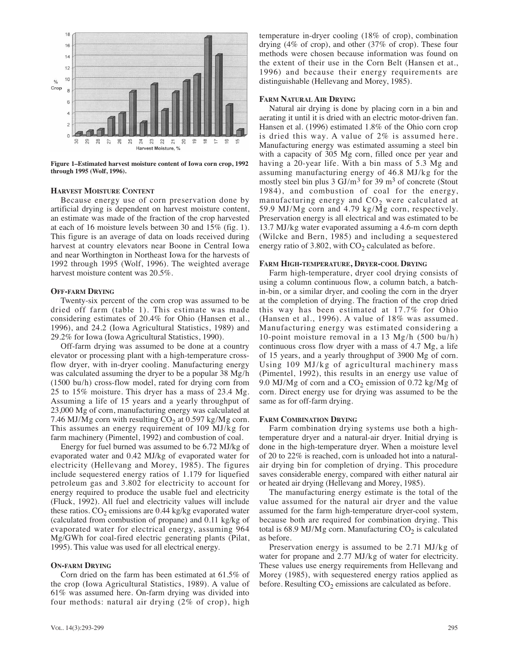

**Figure 1–Estimated harvest moisture content of Iowa corn crop, 1992 through 1995 (Wolf, 1996).**

#### **HARVEST MOISTURE CONTENT**

Because energy use of corn preservation done by artificial drying is dependent on harvest moisture content, an estimate was made of the fraction of the crop harvested at each of 16 moisture levels between 30 and 15% (fig. 1). This figure is an average of data on loads received during harvest at country elevators near Boone in Central Iowa and near Worthington in Northeast Iowa for the harvests of 1992 through 1995 (Wolf, 1996). The weighted average harvest moisture content was 20.5%.

#### **OFF-FARM DRYING**

Twenty-six percent of the corn crop was assumed to be dried off farm (table 1). This estimate was made considering estimates of 20.4% for Ohio (Hansen et al., 1996), and 24.2 (Iowa Agricultural Statistics, 1989) and 29.2% for Iowa (Iowa Agricultural Statistics, 1990).

Off-farm drying was assumed to be done at a country elevator or processing plant with a high-temperature crossflow dryer, with in-dryer cooling. Manufacturing energy was calculated assuming the dryer to be a popular 38 Mg/h (1500 bu/h) cross-flow model, rated for drying corn from 25 to 15% moisture. This dryer has a mass of 23.4 Mg. Assuming a life of 15 years and a yearly throughput of 23,000 Mg of corn, manufacturing energy was calculated at 7.46 MJ/Mg corn with resulting  $CO<sub>2</sub>$  at 0.597 kg/Mg corn. This assumes an energy requirement of 109 MJ/kg for farm machinery (Pimentel, 1992) and combustion of coal.

Energy for fuel burned was assumed to be 6.72 MJ/kg of evaporated water and 0.42 MJ/kg of evaporated water for electricity (Hellevang and Morey, 1985). The figures include sequestered energy ratios of 1.179 for liquefied petroleum gas and 3.802 for electricity to account for energy required to produce the usable fuel and electricity (Fluck, 1992). All fuel and electricity values will include these ratios.  $CO_2$  emissions are 0.44 kg/kg evaporated water (calculated from combustion of propane) and 0.11 kg/kg of evaporated water for electrical energy, assuming 964 Mg/GWh for coal-fired electric generating plants (Pilat, 1995). This value was used for all electrical energy.

### **ON-FARM DRYING**

Corn dried on the farm has been estimated at 61.5% of the crop (Iowa Agricultural Statistics, 1989). A value of 61% was assumed here. On-farm drying was divided into four methods: natural air drying (2% of crop), high

temperature in-dryer cooling (18% of crop), combination drying (4% of crop), and other (37% of crop). These four methods were chosen because information was found on the extent of their use in the Corn Belt (Hansen et at., 1996) and because their energy requirements are distinguishable (Hellevang and Morey, 1985).

#### **FARM NATURAL AIR DRYING**

Natural air drying is done by placing corn in a bin and aerating it until it is dried with an electric motor-driven fan. Hansen et al. (1996) estimated 1.8% of the Ohio corn crop is dried this way. A value of 2% is assumed here. Manufacturing energy was estimated assuming a steel bin with a capacity of 305 Mg corn, filled once per year and having a 20-year life. With a bin mass of 5.3 Mg and assuming manufacturing energy of 46.8 MJ/kg for the mostly steel bin plus  $3 \text{ GJ/m}^3$  for  $39 \text{ m}^3$  of concrete (Stout 1984), and combustion of coal for the energy, manufacturing energy and  $CO<sub>2</sub>$  were calculated at 59.9 MJ/Mg corn and 4.79 kg/Mg corn, respectively. Preservation energy is all electrical and was estimated to be 13.7 MJ/kg water evaporated assuming a 4.6-m corn depth (Wilcke and Bern, 1985) and including a sequestered energy ratio of 3.802, with  $CO<sub>2</sub>$  calculated as before.

#### **FARM HIGH-TEMPERATURE, DRYER-COOL DRYING**

Farm high-temperature, dryer cool drying consists of using a column continuous flow, a column batch, a batchin-bin, or a similar dryer, and cooling the corn in the dryer at the completion of drying. The fraction of the crop dried this way has been estimated at 17.7% for Ohio (Hansen et al., 1996). A value of 18% was assumed. Manufacturing energy was estimated considering a 10-point moisture removal in a 13 Mg/h (500 bu/h) continuous cross flow dryer with a mass of 4.7 Mg, a life of 15 years, and a yearly throughput of 3900 Mg of corn. Using 109 MJ/kg of agricultural machinery mass (Pimentel, 1992), this results in an energy use value of 9.0 MJ/Mg of corn and a  $CO<sub>2</sub>$  emission of 0.72 kg/Mg of corn. Direct energy use for drying was assumed to be the same as for off-farm drying.

### **FARM COMBINATION DRYING**

Farm combination drying systems use both a hightemperature dryer and a natural-air dryer. Initial drying is done in the high-temperature dryer. When a moisture level of 20 to 22% is reached, corn is unloaded hot into a naturalair drying bin for completion of drying. This procedure saves considerable energy, compared with either natural air or heated air drying (Hellevang and Morey, 1985).

The manufacturing energy estimate is the total of the value assumed for the natural air dryer and the value assumed for the farm high-temperature dryer-cool system, because both are required for combination drying. This total is 68.9 MJ/Mg corn. Manufacturing  $CO<sub>2</sub>$  is calculated as before.

Preservation energy is assumed to be 2.71 MJ/kg of water for propane and 2.77 MJ/kg of water for electricity. These values use energy requirements from Hellevang and Morey (1985), with sequestered energy ratios applied as before. Resulting  $CO<sub>2</sub>$  emissions are calculated as before.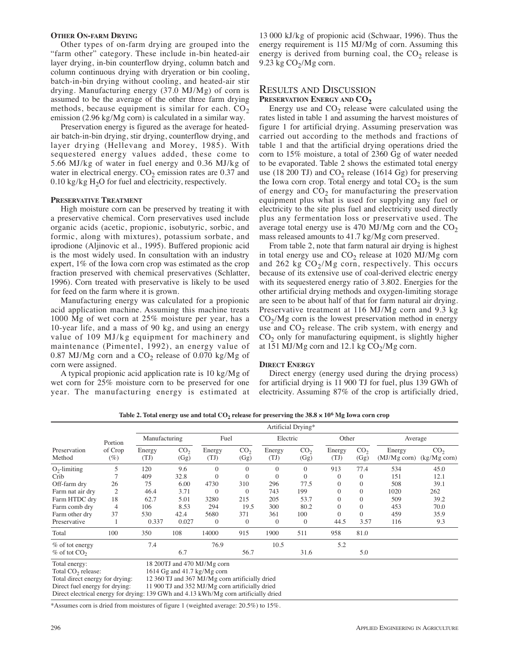#### **OTHER ON-FARM DRYING**

Other types of on-farm drying are grouped into the "farm other" category. These include in-bin heated-air layer drying, in-bin counterflow drying, column batch and column continuous drying with dryeration or bin cooling, batch-in-bin drying without cooling, and heated-air stir drying. Manufacturing energy (37.0 MJ/Mg) of corn is assumed to be the average of the other three farm drying methods, because equipment is similar for each.  $CO<sub>2</sub>$ emission (2.96 kg/Mg corn) is calculated in a similar way.

Preservation energy is figured as the average for heatedair batch-in-bin drying, stir drying, counterflow drying, and layer drying (Hellevang and Morey, 1985). With sequestered energy values added, these come to 5.66 MJ/kg of water in fuel energy and 0.36 MJ/kg of water in electrical energy.  $CO<sub>2</sub>$  emission rates are 0.37 and  $0.10 \text{ kg/kg H}_2$ O for fuel and electricity, respectively.

#### **PRESERVATIVE TREATMENT**

High moisture corn can be preserved by treating it with a preservative chemical. Corn preservatives used include organic acids (acetic, propionic, isobutyric, sorbic, and formic, along with mixtures), potassium sorbate, and iprodione (Aljinovic et al., 1995). Buffered propionic acid is the most widely used. In consultation with an industry expert, 1% of the Iowa corn crop was estimated as the crop fraction preserved with chemical preservatives (Schlatter, 1996). Corn treated with preservative is likely to be used for feed on the farm where it is grown.

Manufacturing energy was calculated for a propionic acid application machine. Assuming this machine treats 1000 Mg of wet corn at 25% moisture per year, has a 10-year life, and a mass of 90 kg, and using an energy value of 109 MJ/kg equipment for machinery and maintenance (Pimentel, 1992), an energy value of 0.87 MJ/Mg corn and a  $CO_2$  release of 0.070 kg/Mg of corn were assigned.

A typical propionic acid application rate is 10 kg/Mg of wet corn for 25% moisture corn to be preserved for one year. The manufacturing energy is estimated at

13 000 kJ/kg of propionic acid (Schwaar, 1996). Thus the energy requirement is 115 MJ/Mg of corn. Assuming this energy is derived from burning coal, the  $CO<sub>2</sub>$  release is 9.23 kg  $CO<sub>2</sub>/Mg$  corn.

## RESULTS AND DISCUSSION **PRESERVATION ENERGY AND CO2**

Energy use and  $CO<sub>2</sub>$  release were calculated using the rates listed in table 1 and assuming the harvest moistures of figure 1 for artificial drying. Assuming preservation was carried out according to the methods and fractions of table 1 and that the artificial drying operations dried the corn to 15% moisture, a total of 2360 Gg of water needed to be evaporated. Table 2 shows the estimated total energy use (18 200 TJ) and  $CO<sub>2</sub>$  release (1614 Gg) for preserving the Iowa corn crop. Total energy and total  $CO<sub>2</sub>$  is the sum of energy and  $CO<sub>2</sub>$  for manufacturing the preservation equipment plus what is used for supplying any fuel or electricity to the site plus fuel and electricity used directly plus any fermentation loss or preservative used. The average total energy use is 470 MJ/Mg corn and the  $CO<sub>2</sub>$ mass released amounts to 41.7 kg/Mg corn preserved.

From table 2, note that farm natural air drying is highest in total energy use and  $CO<sub>2</sub>$  release at 1020 MJ/Mg corn and 262 kg  $CO<sub>2</sub>/Mg$  corn, respectively. This occurs because of its extensive use of coal-derived electric energy with its sequestered energy ratio of 3.802. Energies for the other artificial drying methods and oxygen-limiting storage are seen to be about half of that for farm natural air drying. Preservative treatment at 116 MJ/Mg corn and 9.3 kg  $CO<sub>2</sub>/Mg$  corn is the lowest preservation method in energy use and  $CO<sub>2</sub>$  release. The crib system, with energy and  $CO<sub>2</sub>$  only for manufacturing equipment, is slightly higher at 151 MJ/Mg corn and 12.1 kg  $CO<sub>2</sub>/Mg$  corn.

#### **DIRECT ENERGY**

Direct energy (energy used during the drying process) for artificial drying is 11 900 TJ for fuel, plus 139 GWh of electricity. Assuming 87% of the crop is artificially dried,

**Table 2. Total energy use and total CO2 release for preserving the 38.8** × **106 Mg Iowa corn crop**

|                                                                                                                      | Portion<br>of Crop<br>$(\%)$  | Artificial Drying*                                                                                                                                                   |                                                     |                                                                       |                                                               |                                                         |                                                                |                                                                      |                                                                |                                                |                                                     |
|----------------------------------------------------------------------------------------------------------------------|-------------------------------|----------------------------------------------------------------------------------------------------------------------------------------------------------------------|-----------------------------------------------------|-----------------------------------------------------------------------|---------------------------------------------------------------|---------------------------------------------------------|----------------------------------------------------------------|----------------------------------------------------------------------|----------------------------------------------------------------|------------------------------------------------|-----------------------------------------------------|
|                                                                                                                      |                               | Manufacturing                                                                                                                                                        |                                                     | Fuel                                                                  |                                                               | Electric                                                |                                                                | Other                                                                |                                                                | Average                                        |                                                     |
| Preservation<br>Method                                                                                               |                               | Energy<br>(TJ)                                                                                                                                                       | CO <sub>2</sub><br>(Gg)                             | Energy<br>(TJ)                                                        | CO <sub>2</sub><br>(Gg)                                       | Energy<br>(TJ)                                          | CO <sub>2</sub><br>(Gg)                                        | Energy<br>(TJ)                                                       | CO <sub>2</sub><br>(Gg)                                        | Energy<br>$(MJ/Mg \text{ corn})$               | CO <sub>2</sub><br>$(kg/Mg$ corn)                   |
| $O_2$ -limiting<br>Crib<br>Off-farm dry<br>Farm nat air dry<br>Farm HTDC dry<br>Farm comb dry<br>Farm other dry      | 5<br>26<br>2<br>18<br>4<br>37 | 120<br>409<br>75<br>46.4<br>62.7<br>106<br>530                                                                                                                       | 9.6<br>32.8<br>6.00<br>3.71<br>5.01<br>8.53<br>42.4 | $\theta$<br>$\Omega$<br>4730<br>$\overline{0}$<br>3280<br>294<br>5680 | $\theta$<br>$\Omega$<br>310<br>$\Omega$<br>215<br>19.5<br>371 | $\Omega$<br>$\Omega$<br>296<br>743<br>205<br>300<br>361 | $\mathbf{0}$<br>$\Omega$<br>77.5<br>199<br>53.7<br>80.2<br>100 | 913<br>$\Omega$<br>$\Omega$<br>$\Omega$<br>$\Omega$<br>$\Omega$<br>0 | 77.4<br>$\Omega$<br>0<br>0<br>$\Omega$<br>$\Omega$<br>$\Omega$ | 534<br>151<br>508<br>1020<br>509<br>453<br>459 | 45.0<br>12.1<br>39.1<br>262<br>39.2<br>70.0<br>35.9 |
| Preservative<br>Total                                                                                                | 100                           | 0.337<br>350                                                                                                                                                         | 0.027<br>108                                        | $\mathbf{0}$<br>14000                                                 | $\mathbf{0}$<br>915                                           | $\theta$<br>1900                                        | $\mathbf{0}$<br>511                                            | 44.5<br>958                                                          | 3.57<br>81.0                                                   | 116                                            | 9.3                                                 |
| $%$ of tot energy<br>$\%$ of tot CO <sub>2</sub>                                                                     |                               | 7.4                                                                                                                                                                  | 6.7                                                 | 76.9                                                                  | 56.7                                                          | 10.5                                                    | 31.6                                                           | 5.2                                                                  | 5.0                                                            |                                                |                                                     |
| Total energy:<br>Total CO <sub>2</sub> release:<br>Total direct energy for drying:<br>Direct fuel energy for drying: |                               | 18 200TJ and 470 MJ/Mg corn<br>1614 $Gg$ and 41.7 $kg/Mg$ corn<br>12 360 TJ and 367 MJ/Mg corn artificially dried<br>11 900 TJ and 352 MJ/Mg corn artificially dried |                                                     |                                                                       |                                                               |                                                         |                                                                |                                                                      |                                                                |                                                |                                                     |

Direct electrical energy for drying: 139 GWh and 4.13 kWh/Mg corn artificially dried

\*Assumes corn is dried from moistures of figure 1 (weighted average: 20.5%) to 15%.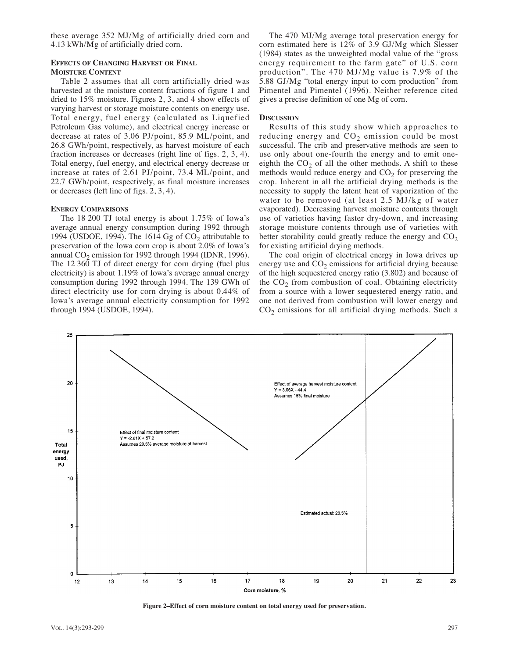these average 352 MJ/Mg of artificially dried corn and 4.13 kWh/Mg of artificially dried corn.

#### **EFFECTS OF CHANGING HARVEST OR FINAL MOISTURE CONTENT**

Table 2 assumes that all corn artificially dried was harvested at the moisture content fractions of figure 1 and dried to 15% moisture. Figures 2, 3, and 4 show effects of varying harvest or storage moisture contents on energy use. Total energy, fuel energy (calculated as Liquefied Petroleum Gas volume), and electrical energy increase or decrease at rates of 3.06 PJ/point, 85.9 ML/point, and 26.8 GWh/point, respectively, as harvest moisture of each fraction increases or decreases (right line of figs. 2, 3, 4). Total energy, fuel energy, and electrical energy decrease or increase at rates of 2.61 PJ/point, 73.4 ML/point, and 22.7 GWh/point, respectively, as final moisture increases or decreases (left line of figs. 2, 3, 4).

#### **ENERGY COMPARISONS**

The 18 200 TJ total energy is about 1.75% of Iowa's average annual energy consumption during 1992 through 1994 (USDOE, 1994). The 1614 Gg of  $CO<sub>2</sub>$  attributable to preservation of the Iowa corn crop is about 2.0% of Iowa's annual  $CO<sub>2</sub>$  emission for 1992 through 1994 (IDNR, 1996). The 12 360 TJ of direct energy for corn drying (fuel plus electricity) is about 1.19% of Iowa's average annual energy consumption during 1992 through 1994. The 139 GWh of direct electricity use for corn drying is about 0.44% of Iowa's average annual electricity consumption for 1992 through 1994 (USDOE, 1994).

The 470 MJ/Mg average total preservation energy for corn estimated here is 12% of 3.9 GJ/Mg which Slesser (1984) states as the unweighted modal value of the "gross energy requirement to the farm gate" of U.S. corn production". The 470 MJ/Mg value is 7.9% of the 5.88 GJ/Mg "total energy input to corn production" from Pimentel and Pimentel (1996). Neither reference cited gives a precise definition of one Mg of corn.

#### **DISCUSSION**

Results of this study show which approaches to reducing energy and  $CO<sub>2</sub>$  emission could be most successful. The crib and preservative methods are seen to use only about one-fourth the energy and to emit oneeighth the  $CO<sub>2</sub>$  of all the other methods. A shift to these methods would reduce energy and  $CO<sub>2</sub>$  for preserving the crop. Inherent in all the artificial drying methods is the necessity to supply the latent heat of vaporization of the water to be removed (at least 2.5 MJ/kg of water evaporated). Decreasing harvest moisture contents through use of varieties having faster dry-down, and increasing storage moisture contents through use of varieties with better storability could greatly reduce the energy and  $CO<sub>2</sub>$ for existing artificial drying methods.

The coal origin of electrical energy in Iowa drives up energy use and  $CO<sub>2</sub>$  emissions for artificial drying because of the high sequestered energy ratio (3.802) and because of the  $CO<sub>2</sub>$  from combustion of coal. Obtaining electricity from a source with a lower sequestered energy ratio, and one not derived from combustion will lower energy and  $CO<sub>2</sub>$  emissions for all artificial drying methods. Such a



**Figure 2–Effect of corn moisture content on total energy used for preservation.**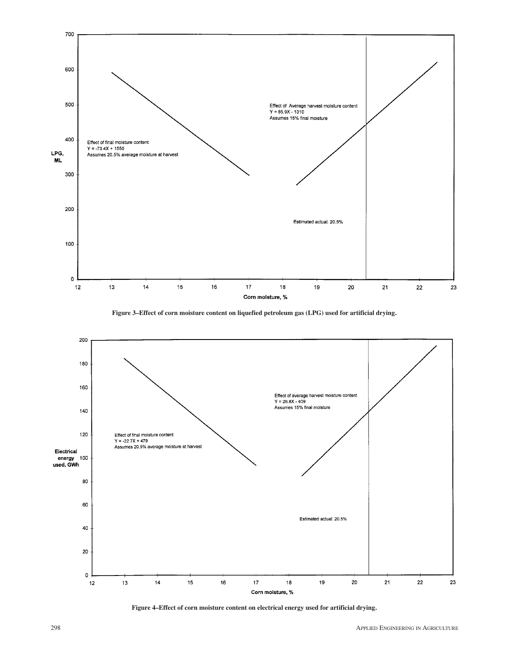

**Figure 3–Effect of corn moisture content on liquefied petroleum gas (LPG) used for artificial drying.**



**Figure 4–Effect of corn moisture content on electrical energy used for artificial drying.**